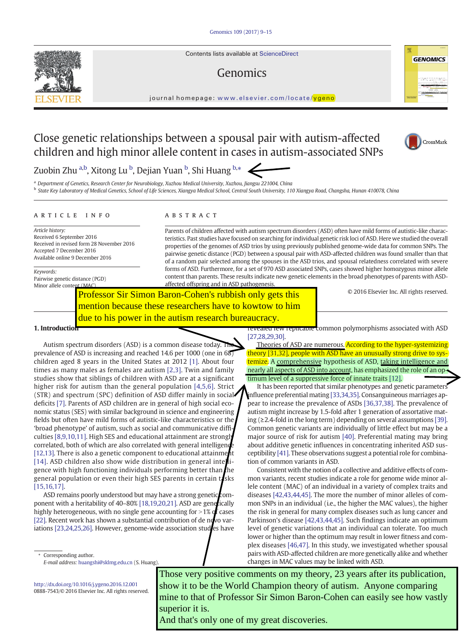Contents lists available at ScienceDirect

# Genomics

journal homepage: <www.elsevier.com/locate/ygeno>

# Close genetic relationships between a spousal pair with autism-affected children and high minor allele content in cases in autism-associated SNPs



<sup>a</sup> Department of Genetics, Research Center for Neurobiology, Xuzhou Medical University, Xuzhou, Jiangsu 221004, China **b** State Key Laboratory of Medical Genetics, School of Life Sciences, Xiangya Medical School, Central South University, 110 Xiangya Road, Changsha, Hunan 410078, China

#### article info abstract

Article history: Received 6 September 2016 Received in revised form 28 November 2016 Accepted 7 December 2016 Available online 9 December 2016

Keywords:

Pairwise genetic distance (PGD) Minor allele content (MAC)

Parents of children affected with autism spectrum disorders (ASD) often have mild forms of autistic-like characteristics. Past studies have focused on searching for individual genetic risk loci of ASD. Here we studied the overall properties of the genomes of ASD trios by using previously published genome-wide data for common SNPs. The pairwise genetic distance (PGD) between a spousal pair with ASD-affected children was found smaller than that of a random pair selected among the spouses in the ASD trios, and spousal relatedness correlated with severe forms of ASD. Furthermore, for a set of 970 ASD associated SNPs, cases showed higher homozygous minor allele content than parents. These results indicate new genetic elements in the broad phenotypes of parents with ASDaffected offspring and in ASD pathogenesis.

Professor Sir Simon Baron-Cohen's rubbish only gets this mention because these researchers have to kowtow to him due to his power in the autism research bureaucracy.

© 2016 Elsevier Inc. All rights reserved.

1. Introduction

Autism spectrum disorders (ASD) is a common disease today. In prevalence of ASD is increasing and reached 14.6 per 1000 (one in 68) children aged 8 years in the United States at 2012 [\[1\]](#page-1-0). About four times as many males as females are autism [\[2,3\]](#page-1-0). Twin and family studies show that siblings of children with ASD are at a significant higher risk for autism than the general population [\[4,5,6\]](#page-1-0). Strict (STR) and spectrum (SPC) definition of ASD differ mainly in social deficits [\[7\]](#page-1-0). Parents of ASD children are in general of high social economic status (SES) with similar background in science and engineering fields but often have mild forms of autistic-like characteristics or the 'broad phenotype' of autism, such as social and communicative difficulties [\[8,9,10,11\].](#page-1-0) High SES and educational attainment are strongly correlated, both of which are also correlated with general intelligend [\[12,13\].](#page-1-0) There is also a genetic component to educational attainment [\[14\]](#page--1-0). ASD children also show wide distribution in general intelligence with high functioning individuals performing better than  $\ln$ general population or even their high SES parents in certain tasks [\[15,16,17\].](#page--1-0)

ASD remains poorly understood but may have a strong genetic com-ponent with a heritability of 40-80% [\[18,19,20,21\].](#page--1-0) ASD are genetically highly heterogeneous, with no single gene accounting for  $>1\%$  of cases [\[22\].](#page--1-0) Recent work has shown a substantial contribution of de novo var-iations [\[23,24,25,26\]](#page--1-0). However, genome-wide association studes have

Corresponding author. E-mail address: [huangshi@sklmg.edu.cn](mailto:huangshi@sklmg.edu.cn) (S. Huang).

<http://dx.doi.org/10.1016/j.ygeno.2016.12.001> 0888-7543/© 2016 Elsevier Inc. All rights reserved.

vealed few replicable common polymorphisms associated with ASD [\[27,28,29,30\].](#page--1-0)

Theories of ASD are numerous. According to the hyper-systemizing theory [\[31,32\],](#page--1-0) people with ASD have an unusually strong drive to systemize. A comprehensive hypothesis of ASD, taking intelligence and nearly all aspects of ASD into account, has emphasized the role of an optimum level of a suppressive force of innate traits [\[12\].](#page-1-0)

It has been reported that similar phenotypes and genetic parameters influence preferential mating [\[33,34,35\]](#page--1-0). Consanguineous marriages appear to increase the prevalence of ASDs [\[36,37,38\]](#page--1-0). The prevalence of autism might increase by 1.5-fold after 1 generation of assortative mating (≥2.4-fold in the long term) depending on several assumptions [\[39\].](#page--1-0) Common genetic variants are individually of little effect but may be a major source of risk for autism [\[40\]](#page--1-0). Preferential mating may bring about additive genetic influences in concentrating inherited ASD susceptibility [\[41\].](#page--1-0) These observations suggest a potential role for combination of common variants in ASD.

Consistent with the notion of a collective and additive effects of common variants, recent studies indicate a role for genome wide minor allele content (MAC) of an individual in a variety of complex traits and diseases [\[42,43,44,45\].](#page--1-0) The more the number of minor alleles of common SNPs in an individual (i.e., the higher the MAC values), the higher the risk in general for many complex diseases such as lung cancer and Parkinson's disease [\[42,43,44,45\]](#page--1-0). Such findings indicate an optimum level of genetic variations that an individual can tolerate. Too much lower or higher than the optimum may result in lower fitness and complex diseases [\[46,47\].](#page--1-0) In this study, we investigated whether spousal pairs with ASD-affected children are more genetically alike and whether changes in MAC values may be linked with ASD.

Those very positive comments on my theory, 23 years after its publication, show it to be the World Champion theory of autism. Anyone comparing mine to that of Professor Sir Simon Baron-Cohen can easily see how vastly superior it is.

And that's only one of my great discoveries.





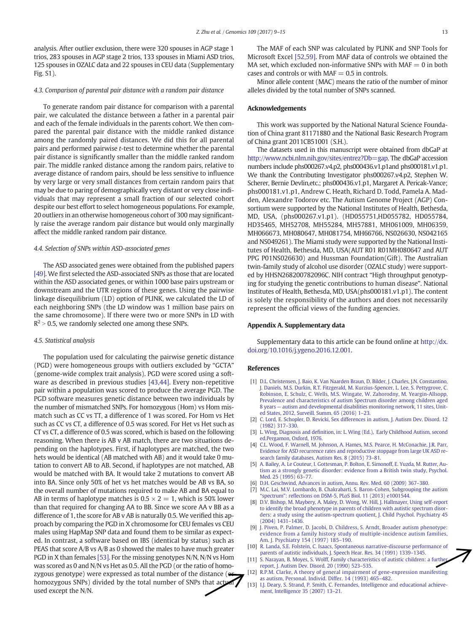<span id="page-1-0"></span>analysis. After outlier exclusion, there were 320 spouses in AGP stage 1 trios, 283 spouses in AGP stage 2 trios, 133 spouses in Miami ASD trios, 125 spouses in OZALC data and 22 spouses in CEU data (Supplementary Fig. S1).

#### 4.3. Comparison of parental pair distance with a random pair distance

To generate random pair distance for comparison with a parental pair, we calculated the distance between a father in a parental pair and each of the female individuals in the parents cohort. We then compared the parental pair distance with the middle ranked distance among the randomly paired distances. We did this for all parental pairs and performed pairwise t-test to determine whether the parental pair distance is significantly smaller than the middle ranked random pair. The middle ranked distance among the random pairs, relative to average distance of random pairs, should be less sensitive to influence by very large or very small distances from certain random pairs that may be due to paring of demographically very distant or very close individuals that may represent a small fraction of our selected cohort despite our best effort to select homogeneous populations. For example, 20 outliers in an otherwise homogeneous cohort of 300 may significantly raise the average random pair distance but would only marginally affect the middle ranked random pair distance.

#### 4.4. Selection of SNPs within ASD-associated genes

The ASD associated genes were obtained from the published papers [\[49\].](#page--1-0) We first selected the ASD-associated SNPs as those that are located within the ASD associated genes, or within 1000 base pairs upstream or downstream and the UTR regions of these genes. Using the pairwise linkage disequilibrium (LD) option of PLINK, we calculated the LD of each neighboring SNPs (the LD window was 1 million base pairs on the same chromosome). If there were two or more SNPs in LD with  $R^2 > 0.5$ , we randomly selected one among these SNPs.

#### 4.5. Statistical analysis

The population used for calculating the pairwise genetic distance (PGD) were homogeneous groups with outliers excluded by "GCTA" (genome-wide complex trait analysis). PGD were scored using a software as described in previous studies [\[43,44\]](#page--1-0). Every non-repetitive pair within a population was scored to produce the average PGD. The PGD software measures genetic distance between two individuals by the number of mismatched SNPs. For homozygous (Hom) vs Hom mismatch such as CC vs TT, a difference of 1 was scored. For Hom vs Het such as CC vs CT, a difference of 0.5 was scored. For Het vs Het such as CT vs CT, a difference of 0.5 was scored, which is based on the following reasoning. When there is AB v AB match, there are two situations depending on the haplotypes. First, if haplotypes are matched, the two hets would be identical (AB matched with AB) and it would take 0 mutation to convert AB to AB. Second, if haplotypes are not matched, AB would be matched with BA. It would take 2 mutations to convert AB into BA. Since only 50% of het vs het matches would be AB vs BA, so the overall number of mutations required to make AB and BA equal to AB in terms of haplotype matches is  $0.5 \times 2 = 1$ , which is 50% lower than that required for changing AA to BB. Since we score AA v BB as a difference of 1, the score for AB v AB is naturally 0.5. We verified this approach by comparing the PGD in X chromosome for CEU females vs CEU males using HapMap SNP data and found them to be similar as expected. In contrast, a software based on IBS (identical by status) such as PEAS that score A/B vs A/B as 0 showed the males to have much greater PGD in X than females [\[53\]](#page--1-0). For the missing genotypes N/N, N/N vs Hom was scored as 0 and N/N vs Het as 0.5. All the PGD (or the ratio of homozygous genotype) were expressed as total number of the distance ( $\bullet$ homozygous SNPs) divided by the total number of SNPs that actual used except the N/N.

The MAF of each SNP was calculated by PLINK and SNP Tools for Microsoft Excel [\[52,59\].](#page--1-0) From MAF data of controls we obtained the MA set, which excluded non-informative SNPs with  $MAF = 0$  in both cases and controls or with  $MAF = 0.5$  in controls.

Minor allele content (MAC) means the ratio of the number of minor alleles divided by the total number of SNPs scanned.

#### Acknowledgements

This work was supported by the National Natural Science Foundation of China grant 81171880 and the National Basic Research Program of China grant 2011CB51001 (S.H.).

The datasets used in this manuscript were obtained from dbGaP at <http://www.ncbi.nlm.nih.gov/sites/entrez?Db=gap>. The dbGaP accession numbers include phs000267.v4.p2, phs000436.v1.p1and phs000181.v1.p1. We thank the Contributing Investigator phs000267.v4.p2, Stephen W. Scherer, Bernie Devlin,etc.; phs000436.v1.p1, Margaret A. Pericak-Vance; phs000181.v1.p1, Andrew C. Heath, Richard D. Todd, Pamela A. Madden, Alexandre Todorov etc. The Autism Genome Project (AGP) Consortium were supported by the National Institutes of Health, Bethesda, MD, USA, (phs000267.v1.p1). (HD055751,HD055782, HD055784, HD35465, MH52708, MH55284, MH57881, MH061009, MH06359, MH066673, MH080647, MH081754, MH66766, NS026630, NS042165 and NS049261). The Miami study were supported by the National Institutes of Health, Bethesda, MD, USA(AUT R01 R01MH080647 and AUT PPG P01NS026630) and Hussman Foundation(Gift). The Australian twin-family study of alcohol use disorder (OZALC study) were supported by HHSN268200782096C. NIH contract "High throughput genotyping for studying the genetic contributions to human disease". National Institutes of Health, Bethesda, MD, USA(phs000181.v1.p1). The content is solely the responsibility of the authors and does not necessarily represent the official views of the funding agencies.

#### Appendix A. Supplementary data

Supplementary data to this article can be found online at [http://dx.](http://dx.doi.org/10.1016/j.ygeno.2016.12.001) [doi.org/10.1016/j.ygeno.2016.12.001.](http://dx.doi.org/10.1016/j.ygeno.2016.12.001)

#### References

- [1] [D.L. Christensen, J. Baio, K. Van Naarden Braun, D. Bilder, J. Charles, J.N. Constantino,](http://refhub.elsevier.com/S0888-7543(16)30130-6/rf0005) [J. Daniels, M.S. Durkin, R.T. Fitzgerald, M. Kurzius-Spencer, L. Lee, S. Pettygrove, C.](http://refhub.elsevier.com/S0888-7543(16)30130-6/rf0005) [Robinson, E. Schulz, C. Wells, M.S. Wingate, W. Zahorodny, M. Yeargin-Allsopp,](http://refhub.elsevier.com/S0888-7543(16)30130-6/rf0005) [Prevalence and characteristics of autism Spectrum disorder among children aged](http://refhub.elsevier.com/S0888-7543(16)30130-6/rf0005) 8 years — [autism and developmental disabilities monitoring network, 11 sites, Unit](http://refhub.elsevier.com/S0888-7543(16)30130-6/rf0005)[ed States, 2012, Surveill. Summ. 65 \(2016\) 1](http://refhub.elsevier.com/S0888-7543(16)30130-6/rf0005)–23.
- [2] [C. Lord, E. Schopler, D. Revicki, Sex differences in autism, J. Autism Dev. Disord. 12](http://refhub.elsevier.com/S0888-7543(16)30130-6/rf0010) [\(1982\) 317](http://refhub.elsevier.com/S0888-7543(16)30130-6/rf0010)–330.
- [3] L. Wing, Diagnosis and defi[nition, in: L. Wing \(Ed.\), Early Childhood Autism, second](http://refhub.elsevier.com/S0888-7543(16)30130-6/rf0015) [ed.Pergamon, Oxford, 1976](http://refhub.elsevier.com/S0888-7543(16)30130-6/rf0015).
- [4] [C.L. Wood, F. Warnell, M. Johnson, A. Hames, M.S. Pearce, H. McConachie, J.R. Parr,](http://refhub.elsevier.com/S0888-7543(16)30130-6/rf0020) [Evidence for ASD recurrence rates and reproductive stoppage from large UK ASD re](http://refhub.elsevier.com/S0888-7543(16)30130-6/rf0020)[search family databases, Autism Res. 8 \(2015\) 73](http://refhub.elsevier.com/S0888-7543(16)30130-6/rf0020)–81.
- [5] [A. Bailey, A. Le Couteur, I. Gottesman, P. Bolton, E. Simonoff, E. Yuzda, M. Rutter, Au](http://refhub.elsevier.com/S0888-7543(16)30130-6/rf0025)[tism as a strongly genetic disorder: evidence from a British twin study, Psychol.](http://refhub.elsevier.com/S0888-7543(16)30130-6/rf0025) [Med. 25 \(1995\) 63](http://refhub.elsevier.com/S0888-7543(16)30130-6/rf0025)–77.
- [6] [D.H. Geschwind, Advances in autism, Annu. Rev. Med. 60 \(2009\) 367](http://refhub.elsevier.com/S0888-7543(16)30130-6/rf0030)–380.
- [M.C. Lai, M.V. Lombardo, B. Chakrabarti, S. Baron-Cohen, Subgrouping the autism](http://refhub.elsevier.com/S0888-7543(16)30130-6/rf0035) 'spectrum": refl[ections on DSM-5, PLoS Biol. 11 \(2013\) e1001544](http://refhub.elsevier.com/S0888-7543(16)30130-6/rf0035).
- [8] [D.V. Bishop, M. Maybery, A. Maley, D. Wong, W. Hill, J. Hallmayer, Using self-report](http://refhub.elsevier.com/S0888-7543(16)30130-6/rf0040) [to identify the broad phenotype in parents of children with autistic spectrum disor](http://refhub.elsevier.com/S0888-7543(16)30130-6/rf0040)[ders: a study using the autism-spectrum quotient, J. Child Psychol. Psychiatry 45](http://refhub.elsevier.com/S0888-7543(16)30130-6/rf0040) [\(2004\) 1431](http://refhub.elsevier.com/S0888-7543(16)30130-6/rf0040)–1436.
- [9] [J. Piven, P. Palmer, D. Jacobi, D. Childress, S. Arndt, Broader autism phenotype:](http://refhub.elsevier.com/S0888-7543(16)30130-6/rf0045) [evidence from a family history study of multiple-incidence autism families,](http://refhub.elsevier.com/S0888-7543(16)30130-6/rf0045) [Am. J. Psychiatry 154 \(1997\) 185](http://refhub.elsevier.com/S0888-7543(16)30130-6/rf0045)–190.
- [10] [R. Landa, S.E. Folstein, C. Isaacs, Spontaneous narrative-discourse performance of](http://refhub.elsevier.com/S0888-7543(16)30130-6/rf0050) [parents of autistic individuals, J. Speech Hear. Res. 34 \(1991\) 1339](http://refhub.elsevier.com/S0888-7543(16)30130-6/rf0050)–1345.
- [11] S. Narayan, B. Moyes, S. Wolff, Family characteristics of autistic children: a furth [report, J. Autism Dev. Disord. 20 \(1990\) 523](http://refhub.elsevier.com/S0888-7543(16)30130-6/rf0055)–535.
- [12] [R.P.M. Clarke, A theory of general impairment of gene-expression manifesting](http://refhub.elsevier.com/S0888-7543(16)30130-6/rf0060) [as autism, Personal. Individ. Differ. 14 \(1993\) 465](http://refhub.elsevier.com/S0888-7543(16)30130-6/rf0060)–482.
- [13] [I.J. Deary, S. Strand, P. Smith, C. Fernandes, Intelligence and educational achieve](http://refhub.elsevier.com/S0888-7543(16)30130-6/rf0065)[ment, Intelligence 35 \(2007\) 13](http://refhub.elsevier.com/S0888-7543(16)30130-6/rf0065)–21.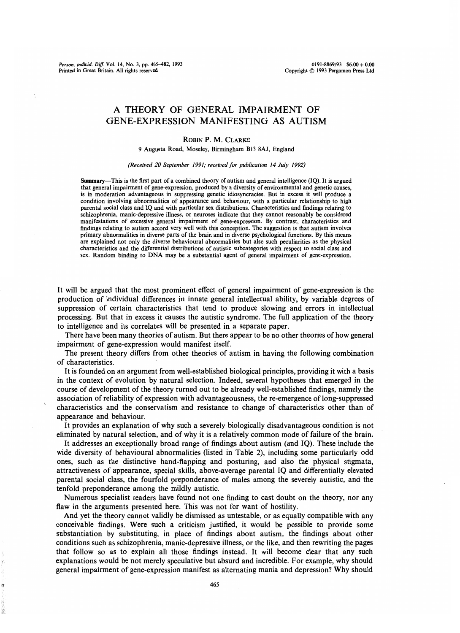Person. individ. Diff. Vol. 14, No. 3, pp. 465-482, 1993 Printed in Great Britain. All rights reserved

## A THEORY OF GENERAL IMPAIRMENT OF GENE-EXPRESSION MANIFESTING AS AUTISM

### ROBIN P. M. CLARKE

9 Augusta Road, Moseley, Birmingham B13 8AJ, England

#### (Received 20 September 1991; received for publication 14 July 1992)

Summary—This is the first part of a combined theory of autism and general intelligence (IQ). It is argued that general impairment of gene-expression, produced by a diversity of environmental and genetic causes, is in moderation advantageous in suppressing genetic idiosyncracies. But in excess it will produce a condition involving abnormalities of appearance and behaviour, with a particular relationship to high parental social class and IQ and with particular sex distributions. Characteristics and findings relating to schizophrenia, manic-depressive illness, or neuroses indicate that they cannot reasonably be considered manifestations of excessive general impairment of gene-expression. By contrast, characteristics and findings relating to autism accord very well with this conception. The suggestion is that autism involves primary abnormalities in diverse parts of the brain and in diverse psychological functions. By this means are explained not only the diverse behavioural abnormalities but also such peculiarities as the physical characteristics and the differential distributions of autistic subcategories with respect to social class and sex. Random binding to DNA may be a substantial agent of general impairment of gene-expression.

It will be argued that the most prominent effect of general impairment of gene-expression is the production of individual differences in innate general intellectual ability, by variable degrees of suppression of certain characteristics that tend to produce slowing and errors in intellectual processing. But that in excess it causes the autistic syndrome. The full application of the theory to intelligence and its correlates will be presented in a separate paper.

There have been many theories of autism. But there appear to be no other theories of how general impairment of gene-expression would manifest itself.

The present theory differs from other theories of autism in having the following combination of characteristics.

It is founded on an argument from well-established biological principles, providing it with a basis in the context of evolution by natural selection. Indeed, several hypotheses that emerged in the course of development of the theory turned out to be already well-established findings, namely the association of reliability of expression with advantageousness, the re-emergence of long-suppressed characteristics and the conservatism and resistance to change of characteristics other than of appearance and behaviour.

It provides an explanation of why such a severely biologically disadvantageous condition is not eliminated by natural selection, and of why it is a relatively common mode of failure of the brain.

It addresses an exceptionally broad range of findings about autism (and IQ). These include the wide diversity of behavioural abnormalities (listed in Table 2), including some particularly odd ones, such as the distinctive hand-flapping and posturing, and also the physical stigmata, attractiveness of appearance, special skills, above-average parental IQ and differentially elevated parental social class, the fourfold preponderance of males among the severely autistic, and the tenfold preponderance among the mildly autistic.

Numerous specialist readers have found not one finding to cast doubt on the theory, nor any flaw in the arguments presented here. This was not for want of hostility.

And yet the theory cannot validly be dismissed as untestable, or as equally compatible with any conceivable findings. Were such a criticism justified, it would be possible to provide some substantiation by substituting, in place of findings about autism, the findings about other conditions such as schizophrenia, manic-depressive illness, or the like, and then rewriting the pages that follow so as to explain all those findings instead. It will become clear that any such explanations would be not merely speculative but absurd and incredible. For example, why should general impairment of gene-expression manifest as alternating mania and depression? Why should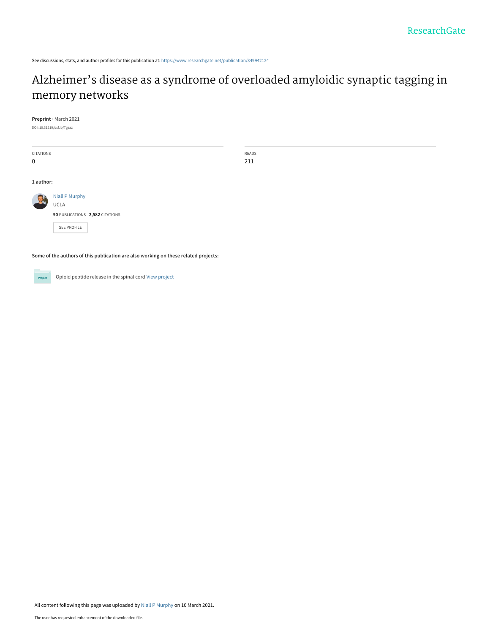See discussions, stats, and author profiles for this publication at: [https://www.researchgate.net/publication/349942124](https://www.researchgate.net/publication/349942124_Alzheimer%27s_disease_as_a_syndrome_of_overloaded_amyloidic_synaptic_tagging_in_memory_networks?enrichId=rgreq-366febfe117442b66d0a3131ad5fa2d8-XXX&enrichSource=Y292ZXJQYWdlOzM0OTk0MjEyNDtBUzo5OTk3NDcyMjk4NjM5MzhAMTYxNTM2OTcyMjY3NQ%3D%3D&el=1_x_2&_esc=publicationCoverPdf)

# [Alzheimer's disease as a syndrome of overloaded amyloidic synaptic tagging in](https://www.researchgate.net/publication/349942124_Alzheimer%27s_disease_as_a_syndrome_of_overloaded_amyloidic_synaptic_tagging_in_memory_networks?enrichId=rgreq-366febfe117442b66d0a3131ad5fa2d8-XXX&enrichSource=Y292ZXJQYWdlOzM0OTk0MjEyNDtBUzo5OTk3NDcyMjk4NjM5MzhAMTYxNTM2OTcyMjY3NQ%3D%3D&el=1_x_3&_esc=publicationCoverPdf) memory networks

READS 211

**Preprint** · March 2021

DOI: 10.31219/osf.io/7gsaz

| <b>CITATIONS</b> |                                      |  |
|------------------|--------------------------------------|--|
| $\Omega$         |                                      |  |
|                  |                                      |  |
| 1 author:        |                                      |  |
|                  | <b>Niall P Murphy</b><br><b>UCLA</b> |  |
|                  | 90 PUBLICATIONS 2,582 CITATIONS      |  |
|                  | <b>SEE PROFILE</b>                   |  |

**Some of the authors of this publication are also working on these related projects:**

**Project** 

Opioid peptide release in the spinal cord [View project](https://www.researchgate.net/project/Opioid-peptide-release-in-the-spinal-cord?enrichId=rgreq-366febfe117442b66d0a3131ad5fa2d8-XXX&enrichSource=Y292ZXJQYWdlOzM0OTk0MjEyNDtBUzo5OTk3NDcyMjk4NjM5MzhAMTYxNTM2OTcyMjY3NQ%3D%3D&el=1_x_9&_esc=publicationCoverPdf)